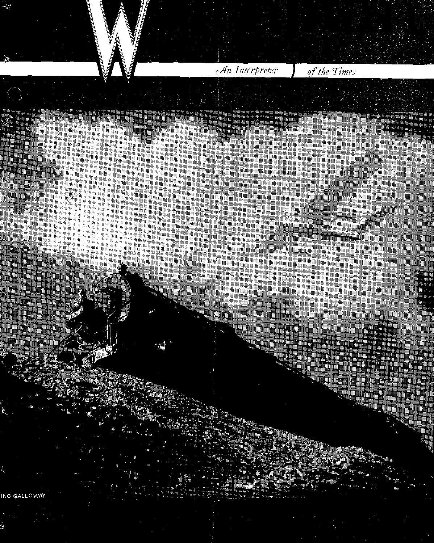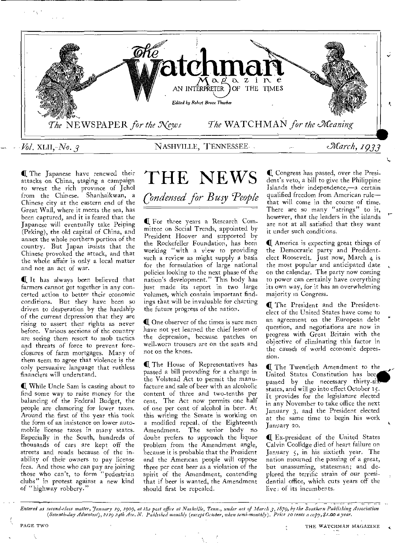

**If** The Japanese have renewed their attacks on China, staging a campaign to wrest the rich province of Jehol from the Chinese. Shanhaikwan, a Chinese city at the eastern end of the Great Wall, where it meets the sea, has been captured, and it is feared that the Japanese will eventually take Peiping (Peking), the old capital of China, and annex the whole northern portion of the country, But Japan insists that the Chinese provoked the attack, and that the whole affair is only a local matter and not an act of war.

Q It has always been believed that farmers cannot get together in any concerted action to better their economic conditions. But they have been so driven to desperation by the hardship of the current depression that they are rising to assert their rights as never before. Various sections of the country are seeing them resort to mob tactics and threats of force to prevent foreclosures of farm mortgages. Many of them seem to agree that violence is the only persuasive language that ruthless financiers will understand.

C While Uncle Sam is casting about to find some way to raise money for the balancing of the Federal Budget, the people are clamoring for lower taxes. Around the first of the year this took the form of an insistence on lower automobile license taxes in many states. Especially in the South, hundreds of thousands of cars are kept off the streets and roads because of the inability of their owners to pay license fees. And those who can pay are joining those who can't, to form "pedestrian clubs" in protest against a new kind of "highway robbery."

## THE NEWS *Condensed for Busy People*

Q For three years a Research Committee on Social Trends, appointed by President Hoover and supported by the Rockefeller Foundation, has been working "with a view to providing such a review as might supply a basis for the formulation of large national policies looking to the next phase of the nation's development." This body has just made its report in two large volumes, which contain important findings that will be invaluable for charting

**4I** One observer of the times is sure men have not yet learned the chief lesson of the depression, because patches on well-worn trousers are on the seats and not on the knees.

the future progress of the nation.

The House of Representatives has passed a bill providing for a change in the Volstead Act to permit the manufacture and sale of beer with an alcoholic content of three and two-tenths per cent. The Act now permits one half of one per cent of alcohol in beer. At this writing the Senate is working on a modified repeal, of the Eighteenth Amendment. The senior body no doubt prefers to approach the liquor problem from the Amendment angle, because it is probable that the President and the American people will oppose three per cent beer as a violation of the spirit of the Amendment, contending that if beer is wanted, the Amendment should first be repealed.

IQ Congress has passed, over the President's veto, a bill to give the Philippine Islands their independence,—a certain qualified freedom from American rule that will come in the course of time. There are so many "strings" to it, however, that the leaders in the islands are not at all satisfied that they want it under such conditions.

(I America is expecting great things of the Democratic party and Presidentelect Roosevelt. Just now, March 4 is the most popular and anticipated date on the calendar. The party now coming to power can certainly have everything its own way, for it has an overwhelming majority in Congress.

**Q** The President and the Presidentelect of the United States have come to an agreement on the European debt question, and negotiations are now in progress with Great Britain with the objective of eliminating this factor in the cause's of world economic depression.

**C.** The Twentieth Amendment to the United States Constitution has **bee**  passed by the necessary thirty-si states, and will go into effect October 15. It provides for the legislature elected in any November to take office the next January **3,** and the President elected at the same time to begin his work January 20.

**41** Ex-president of the United States Calvin Coolidge died of heart failure on January 5, in his sixtieth year. The nation mourned the passing of a great, but unassuming, statesman; and deplored the terrific strain of our presidential office, which cuts years off the live; of its incumbents.

*Entered as second-class matter, January 19, 1909, at the post office at Nashville, Tenn., under act of March 3,1879, by the Southern Publishing Association (Seventh-day Adventist), 2119 zith Ave. N. Published monthly (except October, when semi-monthly). Price zo cents a copy, \$1.00 a year.*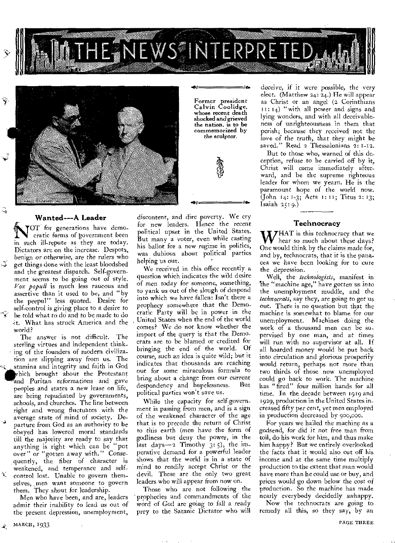

 $\bullet$  . As

Former president Calvin Coolidge,

 $\bullet$ 



## Wanted--A Leader

್

NOT for generations have democratic forms of government been in such ill-repute as they are today. Dictators are on the increase. Despots, *benign or otherwise,* are the rulers who get things done with the least bloodshed and the greatest dispatch. Self-government seems to be going out of style. *Vox populi* is much less raucous and assertive than it used to be, and "by the peepul" less quoted. Desire for self-control is giving place to a desire to be told what to do and to be made to do 'it. What has struck America and the world?

The answer is not difficult. The sterling virtues and independent thinking of the founders of modern civilization are slipping away from us. The stamina and integrity and faith in God which brought about the Protestant and Puritan reformations and gave peoples and states a new lease on life, are being repudiated by governments, schools, and churches. The line between right and wrong fluctuates with the parture from God as an authority to be obeyed has lowered moral standards till the majority are ready to say that anything is right which can be "put over" or "gotten away with." Consequently, the fiber of character is weakened, and temperance and selfcontrol lost. Unable to govern themselves, men want someone to govern them. They shout for leadership.

Men who have been, and are, leaders admit their inability to lead us out of the present depression, unemployment,

whose recent death shocked and grieved the nation, is to be commemorized by the *sculptor.* 

discontent, and dire poverty. We cry for new leaders. Hence the recent political upset in the United States. But many a voter, even while casting his ballot for a new regime in politics, was dubious about political parties helping us out.

We received in this office recently a question which indicates the wild desire of men today for *someone,* something, to yank us out of the slough of despond into which we have fallen: Isn't there a prophecy somewhere that the Democratic Party will be in power in the United States when the end of the world comes? We do not know whether the import of the query is that the Democrats are to be blamed or credited for bringing the end of the world. Of *course, such an idea* is quite wild; but it indicates that thousands are reaching out for some miraculous formula to bring about a change from our current<br>despondency and hopelessness. But despondency and hopelessness. political parties won't save us.

While the capacity for self-government is passing from men, and is a sign of the weakened character of the age that is to precede the return of Christ to this earth (men have the form of godliness but deny the power, in the last days- $-2$  Timothy  $3: 5$ , the imperative demand for a powerful leader shows that the world is in a state of mind to readily accept Christ or the devil. These are the only two great leaders who will appear from now on.

Those who are not following the prophecies and commandments of the word of God *are* going to *fall* a ready prey to the Satanic Dictator who will

deceive, if it were possible, the very elect. (Matthew 24:  $24$ .) He will appear as Christ or an angel (2 Corinthians II: 14) "with all power and signs and lying wonders, and with all deceivableness of unrighteousness in them that perish; because they received not the love of the truth, that they *might* be saved." Read 2 Thessalonians 2: 1-12.

But to those who, warned of this deception, refuse to be carried off by it, Christ will come immediately afterward, and be the supreme righteous leader for whom we yearn. He is the paramount hope of the world now. (John 14: 1-3; Acts 1:11; Titus 2: 13; Isaiah  $25:9.$ 

## Technocracy

WHAT is this technocracy that we<br>hear so much about these days? One would think by the claims made for, and by, technocrats, that it is the panacea we have been looking for to cure the depression.

Well, the *technologists,* manifest in be "machine age," *have gotten us* into the unemployment muddle, and the *technocrats,* say they, are going to get us out. There is no question but that the machine is somewhat to blame for our unemployment. Machines doing the work of a thousand men can be supervised by one man, and at times will run with no supervisor at all. If all hoarded money would be put back into circulation and glorious prosperity would return, perhaps not more than two thirds of those now unemployed could go back to work. The machine has "fired" four million hands for all time. In the decade between 1919 and 1929, production in the United States increased fifty per cent, yet men employed in production decreased by 900,000.

For years we hailed the machine as a godsend, for did it not free man from toil, do his work for him, and thus make him happy? But we entirely overlooked the facts that it would also cut off his income and at the same time multiply production to the extent that man would have more than he could use or buy, and prices would go down below the *cost of*  production. So the machine has made nearly everybody decidedly unhappy.

Now the technocrats are going to remedy all this, so they say, by an

燮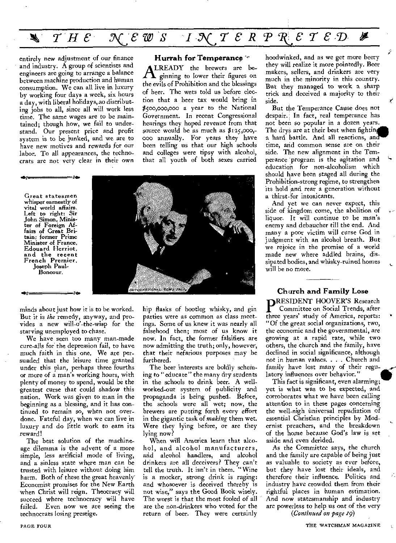#### *THE 5CE W S I ACT ERPMTED*  ∦  $\blacktriangledown$

entirely new adjustment of our finance and industry. A group of scientists and engineers are going to arrange a balance between machine production and human consumption. We can all live in luxury by working four days a week, six hours a day, with liberal holidays, so distributing jobs to all, since all will work less time. The same wages are to be maintained; though how, we fail to understand. Our present price and profit system is to be junked, and we are to have new motives and rewards for our labor. To all appearances, the technocrats are not very clear in their own

O.

### **Hurrah for Temperance**

**ALREADY** the brewers are be-<br>the evils of Prohibition and the blessings LREADY the brewers are beginning to lower their figures on of beer. The wets told us before election that a beer tax would bring in \$500,000,000 a year to the National Government. In recent Congressional hearings they hoped revenue from that source would be as much as  $$125,000$ ,-000 annually. For years they have been telling us that our high schools and colleges were tipsy with alcohol, that all youth of both sexes carried



age *De.* 



minds about just how it is to be worked. But it is *the* remedy, anyway, and provides a new will-o'-the-wisp for the starving unemployed to chase.

We have seen too many man-made cure-alls for the depression fail, to have much faith in this one. We are persuaded that the leisure time granted under this plan, perhaps three fourths or more of a man's working hours, with plenty of money to spend, would be the greatest curse that could shadow this nation. Work was given to man in the beginning as a blessing, and it has continued to remain so, when not overdone. Fateful day, when we can live in luxury and do little work to earn its reward!

The best solution of the machineage dilemma is the advent of a more simple, less artificial mode of living, and a sinless state where man can be trusted with leisure without doing him harm. Both of these the great heavenly Economist promises for the New Earth when Christ will reign. Theocracy will succeed where technocracy will have failed. Even now we are seeing the technocrats losing prestige.

hip flasks of bootleg whisky, and gin parties were as common as class meetings. Some of us knew it was nearly all falsehood then; most of us know it now. In fact, the former falsifiers are now admitting the truth; only, however, that their nefarious purposes may be furthered.

The beer interests are boldly scheming to "educate" the many dry students in the schools to drink beer. A wellworked-out system of publicity and propaganda is being pushed. Before, the schools were all wet; now, the brewers are putting forth every effort in the gigantic task of *making* them wet. Were they lying before, or are they lying now?

When will America learn that alcohol, and alcohol manufacturers, and alcohol handlers, and alcohol drinkers are all deceivers? They can't tell the truth. It isn't in them. "Wine is a mocker, strong drink is raging: and whosoever is deceived thereby is not wise," says the Good Book wisely. The worst is that the most fooled of all are the non-drinkers who voted for the return of beer. They were certainly

hoodwinked, and as we get more beery they will realize it more pointedly. Beer makers, sellers, and drinkers are very much in the minority in this country. But they managed to work a sharp trick and deceived a majority to their side.

I<br>I

But the Temperance Cause does not despair.', In fact, real temperance has not been so popular in a dozen years. The drys are at their best when fighting a hard battle. And all reactions, an time, and common sense are on their side. The new alignment in the Temperance program is the agitation and education for non-alcoholism which should have been staged all during the Prohibition-strong regime, to strengthen its hold and rear a generation without a thirst-for intoxicants.

And yet we can never expect, this side of kingdom come, the abolition of liquor. It will continue to be man's enemy and debaucher till the end. And many a poor victim will curse God in judgment with an alcohol breath. But we rejoice in the promise of a world made new where addled brains, dissipated bodies, and whisky-ruined homes will be no more.

Church **and Family Lose P**RESIDENT HOOVER'S Research<br>
Committee on Social Trends, after<br>
three years' study of America, reports Committee on Social Trends, after three years' study of America, reports: "Of the great social organizations, two, the economic and the governmental, are growing at a rapid rate, while two others, the church and the family, have declined in social significance, although not in human values. . . . Church and family have lost many of their regulatory influences over behavior."

This fact is significant, even alarming; yet is what was to be expected, and corroborates what we have been calling attention to in these pages concerning the well-nigh universal repudiation of essential Christian principles by Modernist preachers, and the breakdown of the home because God's law is set aside and even derided.

As the Committee says, the church and the family are capable of being just as valuable to society as ever before, but they have lost their ideals, and therefore their influence. Politics and industry have crowded them from their rightful places in human estimation. And now statesmanship and industry are powerless to help us out of the very

*(Continued on page 19)*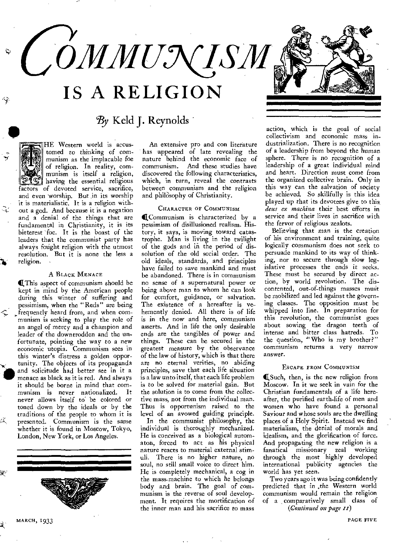

 $\mathcal{B}$ y Keld J. Reynolds

HE Western world is accustomed to thinking of communism as the implacable foe of religion. In reality, communism is itself a religion, having the essential religious factors of devoted service, sacrifice, and even worship. But in its worship it is materialistic. It is a religion without a god. And because it is a negation and a denial of the things that are fundamental in Christianity, it is its bitterest foe. It is the boast of the leaders that the communist party has always fought religion with the utmost resolution. But it is none the less a religion.

## A BLACK MENACE

(This aspect of communism should be kept in mind by the American people during this winter of suffering and pessimism, when the "Reds" are being \_frequently heard from, and when communism is seeking to play the role of an angel of mercy and a champion and leader of the downtrodden and the unfortunate, pointing the way to a new economic utopia. Communism sees in this winter's distress a golden opportunity. The objects of its propaganda and solicitude had better see in it a menace as black as it is red. And always it should be borne in mind that communism is never nationalized. never allows itself to be colored or toned down by the ideals or by the traditions of the people to whom it is presented. Communism is the same whether it is found in Moscow, Tokyo, London, New York, or Los Angeles.



An extensive pro and con literature has appeared of late revealing the nature behind the economic face of communism. And these studies have discovered the following characteristics, which, in turn, reveal the contrasts between communism and the religion and philosophy of Christianity.

### CHARACTER OF COMMUNISM

(Communism is characterized by a pessimism of disillusioned realism. History, it says, is moving toward catastrophe. Man is living in the twilight of the gods and in the period of dissolution of the old social order. The old ideals, standards, and principles have failed to save mankind and must be abandoned. There is in communism no sense of a supernatural power or being above man to whom he can look for comfort, guidance, or salvation. The existence of a hereafter is vehemently denied. All there is of life is in the now and here, communism asserts. And in life the only desirable ends are the tangibles of power and things. These can be secured in the greatest measure by the observance of the law of history, which is that there are no eternal verities, no abiding principles, save that each life situation is a law unto itself, that each life problem is to be solved for material gain. But the solution is to come from the collective mass, not from the individual man. Thus is opportunism raised to the level of an avowed guiding principle.

In the communist philosophy, the individual is thoroughly mechanized. He is conceived as a biological automaton, forced to act as his physical nature reacts to material external stimuli. There is no higher nature, no soul, no still small voice to direct him. He is completely mechanical, a cog in the mass-machine to which he belongs body and brain. The goal of communism is the reverse of soul development. It requires the mortification of the inner man and his sacrifice to mass

action, which is the goal of social collectivism and economic mass industrialization. There is no recognition of a leadership from beyond the human sphere. There is no recognition of a leadership of a great individual mind and heart. Direction must come from the organized collective brain. Only in this way can the salvation of society be achieved. So skillfully is this idea played up that its devotees give to this *dens ex machina* their best efforts in service and their lives in sacrifice with the fervor of religious zealots.

Believing that man is the creation of his environment and training, quite logically communism does not seek to persuade mankind to its way of thinking, nor to secure through slow legislative processes the ends it seeks. These must be secured by direct action, by world revolution. The discontented, out-of-things masses must be mobilized and led against the governing classes. The opposition must be whipped into line. In preparation for this revolution, the communist goes about sowing the dragon teeth of intense and bitter class hatreds. To the question, "Who is my brother?" communism returns a very narrow answer.

#### ESCAPE FROM COMMUNISM

(Such, then, is the new religion from Moscow. In it we seek in vain for the Christian fundamentals of a life hereafter, the purified earth-life of men and women who have found a personal Saviour and whose souls are the dwelling places of a Holy Spirit. Instead we find materialism, the denial of morals and idealism, and the glorification of force. And propagating the new religion is a fanatical missionary zeal working through the most highly developed international publicity agencies the world has yet seen.

Two years ago it was being confidently predicted that in .the Western world communism would remain the religion of a comparatively small class of *(Continued on page Ix)* 

庅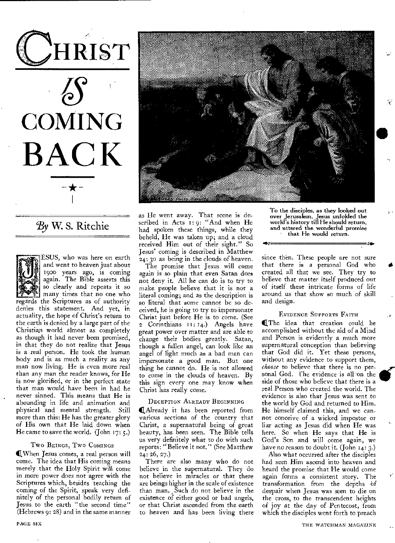**CHRIST COMING BAC K** 

## By W. S. Ritchie



ESUS, who was here on earth and went to heaven just about 1900 years ago, is coming again. The Bible asserts this so clearly and repeats it so

many times that no one who regards the Scriptures as of authority denies this statement. And yet, in actuality, the hope of Christ's return to the earth is denied by a large part of the Christian world almost as completely as though it had never been promised, in that they do not realize that Jesus is a real person. He took the human body and is as much a reality as any man now living. He is even more real than any man the reader knows, for He is now glorified, or in the perfect state that man would have been in had he never sinned. This means that He is abounding in life and animation and physical and mental strength. Still more than this: He has the greater glory of His own that He laid down when He came to save the world. (John 17: 5.)

## Two BEINGS, Two COMINGS

(LWhen Jesus comes, a real person will come. The idea that His coming means merely that the Holy Spirit will come in more power does not agree with the Scriptures which, besides teaching the coming of the Spirit, speak very definitely of the personal bodily return of Jesus to the earth "the second time" (Hebrews 9: 28) and in the same manner



as He went away. That scene is described in Acts 1:9: "And when He had spoken these things, while they beheld, He was taken up; and a cloud received Him out of their sight." So Jesus' coming is described in Matthew 24: 3o as being in the clouds of heaven.

The promise that Jesus will come again is so plain that even Satan does not deny it. All he can do is to try to make people believe that it is not a literal coming; and as the description is so literal that some cannot be so deceived, he is going to try to impersonate Christ just before He is to come. (See 2 Corinthians II: 14.) Angels have great power over matter and are able to change their bodies greatly. Satan, though a fallen angel, can look like an angel of light much as a bad man can impersonate a good man. But one thing he cannot do. He is not allowed to come in the clouds of heaven. By this sign every one may know when Christ has really come.

#### DECEPTION ALREADY BEGINNING

Already it has been reported from various sections of the country that Christ, a supernatural being of great beauty, has been seen. The Bible tells us very definitely what to do with such reports: "Believe it not." (See Matthew <sup>2</sup>4: 26, 27.)

There are also many who do not believe in the supernatural. They do not believe in miracles or that there are beings higher in the scale of existence than man. Such do not believe in the existence of either good or bad angels, or that Christ ascended from the earth to heaven and has been living there To the disciples, **as they** looked out **over Jerusalem, Jesus unfolded** the world's **history till He should return,**  and **uttered the wonderful promise that** He would **return.** 

since then. These people are not sure that there is a personal **God** who created all that we see. They try to believe that **matter** itself produced out of itself these intricate forms of life **around us** that show so much of skill and design.

#### EVIDENCE SUPPORTS FAITH

The idea that creation could be accomplished without the aid of a Mind and Person is evidently a much more supernatural conception than believing that God **did it.** Yet these persons, without any evidence to support them, *choose* to believe that **there is** no personal God. Che evidence is all'on the side of those who believe that there is a real Person who created **the** world. The evidence is also that Jesus was sent to the world by God and returned to Him. He himself claimed this, and we cannot conceive of a wicked impostor or liar acting as Jesus did when He was here. So when He says that He is God's Son and will come again, we have no reason to doubt it. (John 14: 3.)

Also what occurred after the disciples had seen Him ascend into heaven and heard the promise that He would come again forms a consistent story. The transformation from **the** depths bf despair when Jesus was seen to die on the cross, to **the** transcendent heights of joy at the day of Pentecost, from which **the** disciples went forth to preach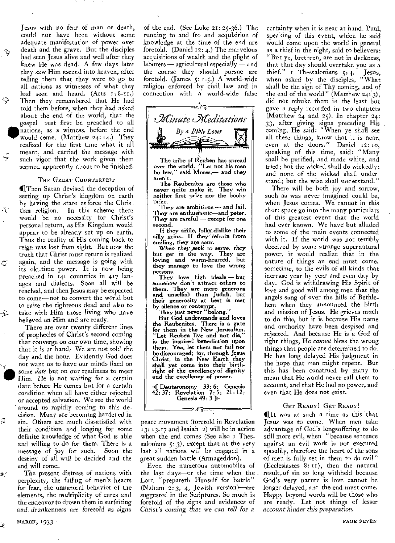Jesus with no fear of man or death, could not have been without some adequate manifestation of power over death and the grave. But the disciples had seen Jesus alive and well after they knew He was dead. A few days later they saw Him ascend into heaven, after telling them that they were to go to all nations as witnesses of what they had seen and heard.  $(Acts I: 8-II.)$ Then they remembered that He had told them before, when they had asked about the end of the world, that the gospel ust first be preached to all nations, as a witness, before the end would come. (Matthew 24: 14.) They would come. (Matthew 24: 14.) They realized for the first time what it all meant, and carried the message with such vigor that the work given them seemed apparently about to be finished.

ᆃ

نبخ

-ૉ

٦

-7.

莈

s.

À

#### THE GREAT COUNTERFEIT

IliThen Satan devised the deception of setting up Christ's kingdom on earth by having the state enforce the Chris-<br>tian religion. In this scheme there In this scheme there would be no necessity for Christ's personal return, as His Kingdom would appear to be already set up on earth. Thus the reality of His coming back to *reign was lost from sight.* But now the truth that Christ must return is realized again, and the message is going with its old-time power. It is now being preached in 141 countries in 417 Ianages and dialects. Soon all will be reached, and then Jesus may be expected to come—not to convert the world but to raise the righteous dead and also to take with Him those living who have believed on-Him and are ready.

There are over twenty different lines of prophecies of Christ's second coming that converge on our own time, showing that it is at hand: We are not told the day and the hour. Evidently God does not want us to have our minds fixed on some *date* but on our readiness to meet Him. He is not waiting for a certain date before He comes but for a certain condition when all have either rejected or accepted salvation. We see the world around us rapidly coming to this decision. Many are becoming hardened in sin. Others are much dissatisfied with their condition and longing for some definite knowledge of what God is able and willing to do for them. There is a message of joy for such. Soon the destiny of all will be decided and the end will come:

The present distress of nations with perplexity, the failing of men's- hearts for fear, the unnatural behavior of the elements, the multiplicity of cares and the endeavor to drown them in surfeiting and, *drunkenness are foretold* as *signs* 

of the end. (See Luke 21: 25-36.) The running to and fro and acquisition of knowledge at the time of the end are foretold. (Daniel 12: 4.) The marvelous acquisitions of wealth and the plight of laborers — agricultural especially — and the course they should pursue are foretold. (James 5: 1-5.) A world-wide religion enforced by civil law and in connection with a world-wide false :د کلاً © =



The tribe of Reuben has spread<br>over the world. "Let not his men<br>be few," said Moses,— and they aren't.

The Reubenites are those who never quite make it. They win neither first prize nor the booby prize.

They are ambitious — and fail. They are enthusiastic—and peter. They are careful — except for one second.

If they smile, folks dislike their silly grins. If they refrain from smiling, they are sour.

When they seek to *serve,* they but get in the way. They are loving and warm-hearted, but they manage to love the wrong persons.

They love high ideals — but somehow don't attract others to them. They are more generous and unselfish than Judah, but their generosity at best is met by silence or contempt. They just never "belong."

But Cod understands and loves the Reubenites. There is a gate for them in the New Jerusalem. "Let Reuben live and not die," is the inspired benediction upon them. Yea, let them not fail nor be discouraged; for, through Jesus Christ, in the New Earth they shall yet come into their birthright of the excellency of dignity and the excellency of power.

-4 Deuteronomy 33:6; Genesis 42: 37; Revelation 7:5; 21: 12; Genesis 49: 3 Is-

=ಲ⁄ಾ=

peace movement (foretold in Revelation 13: 13-17 and Isaiah 2) will be in action when the end comes (See also I Thessalonians  $\zeta$ : 3), except that at the very last all nations will be engaged in a great sudden battle (Armageddon).

Even the numerous automobiles of the last days—or the time when the Lord "prepareth Himself for battle" (Nahum 2: 3, 4, Jewish version)—are suggested in the Scriptures. So much is foretold of the signs and evidences of *Christ's coming that we can tell for a* 

certainty when it is near at hand. Paul, speaking of this event, which he said would come upon the world in general as a thief in the night, said to believers: "But ye, brethren, are not in darkness, that that day should overtake you as a thief." 1 Thessalonians 5:4. Jesus, when asked by the disciples, "What shall be the sign of Thy coming, and of the end of the world" (Matthew 24: 3), did not rebuke them in the least but gave a reply recorded in two chapters (Matthew  $24$  and  $25$ ). In chapter  $24$ : 33, after giving signs preceding His coming, He said: "When ye shall see all these things, know that it is near, even at the doors." Daniel 12:10, speaking of this time, said: "Many shall be purified, and made white, and tried; but the wicked shall do wickedly: and none of the wicked shall understand; but the wise shall understand."

There will be both joy and sorrow, such as was never imagined could be, when Jesus comes. We cannot in this short space go into the many particulars of this greatest event that the world had ever known. We have but alluded to some of the main events connected with it. If the world was not terribly deceived by some strange supernatural power, it would realize that in the nature of things an end must come, sometime, to the evil's of all kinds that increase year by year and even day by day. God is withdrawing His Spirit of love and good will among men that the angels sang of over the hills of Bethlehem when they announced the birth and mission of Jesus. He grieves much to do this, but it is because His name and authority have been despised and rejected. And because He is a God of right things, He *cannot* bless the wrong things that people are determined to do. He has long delayed His judgment in the hope that men might repent. But this has been construed by many to mean that He would never call them to account, and that He had no power, and even that He does not exist.

#### GET READY! GET READY!

It was at such a time as this that Jesus was to come. When men take advantage of God's longsuffering to do still more evil, when "because sentence against an evil work is not executed speedily, therefore the heart of the sons of men is fully set in them to do evil" (Ecclesiastes 8:11), then the natural result,of sin so long withheld because God's very nature is love cannot be longer delayed, and the end must come. Happy beyond words will be those who are ready. Let not things of lesser *account hinder this preparation.* 

MARCH, 1933 PAGE SEVEN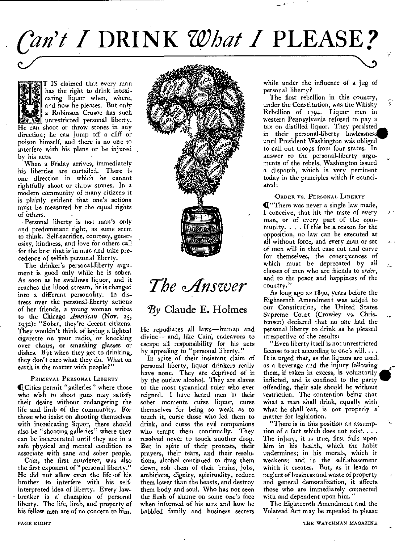# *Can't* I DRINK *What* I PLEASE?

T IS claimed that every man has the right to drink intoxicating liquor when, where, and how he pleases. But only a Robinson Crusoe has such unrestricted personal liberty. He can shoot or throw stones in any direction; he can jump off a cliff or poison himself, and there is no one to interfere with his plans or be injured by his acts.

When a Friday arrives, immediately his liberties are curtailed. There is one direction in which he cannot rightfully shoot or throw stones. In a modern community of many citizens it is plainly evident that one's actions must be measured by the equal rights of others.

• Personal liberty is not man's only and predominant right, as some seem to think. Self-sacrifice, courtesy, generosity, kindness, and love for others call for the best that is in man and take precedence of selfish personal liberty.

The drinker's personal-liberty argument is good only while he is sober. As soon as he swallows liquor, and it reaches the blood stream, he is changed into a different personality. In distress over the personal-liberty actions of her friends, a young woman writes to the Chicago American (Nov. 25, 1932): "Sober, they're decent citizens. They wouldn't think of laying a lighted cigarette on your radio, or knocking over chairs, or smashing glasses or dishes. But when they get to drinking, they don't care what they do. What on earth is the matter with people?"

#### PRIMEVAL PERSONAL LIBERTY

(Cities permit "galleries" where those who wish to shoot guns may satisfy their desire without endangering the life and limb of the community. For those who insist on shooting themselves with intoxicating liquor, there should also be "shooting galleries" where they can be incarcerated until they are in a safe physical and mental condition to associate with sane and sober people.

Cain, the first murderer, was also the first exponent of "personal liberty." He did not allow even the life 'of his brother to interfere with his selfinterpreted idea of liberty. Every lawbreaker is a champion of personal liberty. The life, limb, and property of his fellow men are of no concern to him.



*The Answer* 

## $By$  Claude E. Holmes

He repudiates all laws—human and divine — and, like Cain; endeavors to escape all responsibility for his acts by appealing to "personal liberty."

In spite of their insistent claim of personal liberty, liquor drinkers really have none. They are deprived of it by the outlaw alcohol. They are slaves to the most tyrannical ruler who ever reigned. I have heard men in their sober moments curse liquor, curse themselves for being so weak as to touch it, curse those who led them to drink, and curse the evil companions who tempt them continually. They resolved never to touch another drop. But in spite of their protests, their prayers, their tears, and their resolutions, alcohol continued to drag them down, rob them of their brains, jobs, ambitions, dignity, spirituality, reduce them lower than the beasts, and destroy them body and soul. Who has not seen the flush of shame on some one's face when informed of his acts and how he babbled family and business secrets

while under the influence of a jug of personal liberty?

The first rebellion in this country, under the Constitution, was the Whisky Rebellion of 1994. Liquor men in western Pennsylvania refused to pay a tax on distilled liquor. They persisted in their personal-liberty lawlessnes. until President Washington was obliged to call out troops from four states. In answer to the personal-liberty arguments of the rebels, Washington issued a dispatch, which is very pertinent today in the principles which it enunciated:

## ORDER VS. PERSONAL LIBERTY

("There was never a single law made, I conceive, that hit the taste of every man, or of every part of the community. . . . If this be a reason for the opposition, no law can be executed at all without force, and every man or set of men will in that case cut and carve for themselves, the consequences of which must be deprecated by all classes of men who are friends to order, and to the peace and happiness of the country."

As long ago as 189o, years before the Eighteenth Amendment was added to our Constitution, the United States Supreme Court (Crowley vs. Christensen) declared that no one had the personal liberty to drink as he pleased irrespective of the results:

4

G

"Even liberty itself is not unrestricted license to act according to one's will.... It is urged that, as the liquors are used. as a beverage and the injury following them, if taken in excess, is voluntarily inflicted, and is confined to the party offending, their sale should be without restriction. The contention being that what a man shall drink, equally with what he shall eat, is not properly a' matter for legislation.

"There is in this position an assumption of a fact which does not exist... . The injury, it is true, first falls upon him in his health, which the habit undermines; in his morals, which it weakens; and in the self-abasement which it creates. But, as it leads to neglect of business and waste of property and general demoralization, it affects those who are immediately connected with and dependent upon him."

The Eighteenth Amendment and the Volstead Act may be repealed to please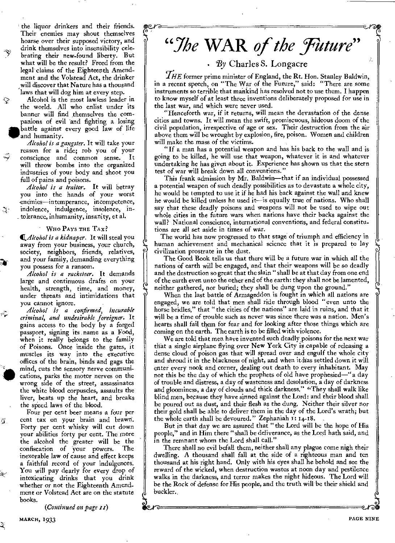' the liquor drinkers and their friends. Their enemies may shout themselves hoarse over their supposed victory, and drink themselves into insensibility celebrating their new-found liberty. But what will be the result? Freed from the legal claims of the Eighteenth Amendment and the Volstead Act, the drinker will discover that Nature has a thousand laws that will dog him at every step.

Alcohol is the most lawless leader in the world. All who enlist under its banner will find themselves the companions of evil 'and fighting a losing **W** battle against every good law of life and humanity.

په

-31

 $\omega_{\rm{p}}$ 

蛋.

*Alcohol is a gangster.* It will take your reason for a ride; rob you of your conscience and common sense. It will throw bombs into the organized industries of your body and shoot you full of pains and poisons.

*Alcohol is a traitor.* It will betray you into the hands of your worst -enemies—intemperance, incompetence, indolence, indulgence, insolence, in tolerance, inhumanity, insanity, et al.

## WHO PAYS THE TAX?

41.41/C0h0/ *is a kidnaper.* It will steal you away from your business, your church, society, neighbors, friends, relatives, and your family, demanding everything you possess for a ransom.

*Alcohol is a racketeer.* It demands large and continuous drafts on your health, strength, time, and money, under threats and intimidations that you cannot ignore.

*Alcohol is a confirmed, incurable criminal, and undesirable foreigner.* It gains access to the body by a forged passport, signing its .name as a Food, when it really belongs to the family of Poisons. Once inside the gates, it muscles its way into the executive offices of the brain, binds and gags the mind, cuts the sensory nerve communications, parks the motor nerves on the mind, cuts the sensory nerve communiwrong side of the street, assassinates the white blood corpuscles, assaults the liver, beats up the heart, and breaks the speed laws of the blood.

Four per cent beer means a four per cent tax on your brain and brawn. Forty per cent whisky will cut down your abilities forty per cent. The more the alcohol the greater will be the confiscation of your powers. The inexorable law of cause and effect keeps a faithful record of your indulgences. You will pay dearly for every drop of intoxicating drinks that you drink whether or not the Eighteenth Amendment or Volstead Act are on the statute books.

*(Continued on page ri)* 

## "The WAR of the Future"

## • By Charles S. Longacre

 $H\llap{/}H\llap{/}E$  former prime minister of England, the Rt. Hon. Stanley Baldwin, in a recent speech, on "The War of the Future," said: "There are some instruments so terrible that mankind has resolved not to use them. I happen to know myself of at least three inventions deliberately proposed for use in the last war, and which were never used.

"Henceforth war, if it returns, will mean the devastation of the dense cities and towns. It will mean the swift, promiscuous, hideous doom of the civil population, irrespective of age or sex. Their destruction from the air above them will be wrought by explosion, fire, poison. Women and children will make the mass of the victims.

"If a man has a potential weapon and has his back to the wall and is going to be killed, he will use that weapon, whatever it is and whatever undertaking he has given about it. Experience has shown us that the stern test of war will break down all conventions."

This frank admission by Mr. Baldwin—that if an individual possessed a potential weapon of such deadly possibilities as to devastate a whole city, he would be tempted to use it if he had his back against the wall and knew he would be killed unless he used it—is equally true of nations. Who shall say that these deadly poisons and weapons will not be used to wipe out whole cities in the future wars when nations have their backs against the wall? National conscience, international conventions, and federal constitutions are all set aside in times of war.

The world has now progressed to that stage of triumph and efficiency in human achievement and mechanical science that it is prepared to lay civilization prostrate in the dust.

The Good Book tells us that there will be a future war in which all the nations of earth will be engaged, and that their weapons will be so deadly and the destruction so great that the slain "shall be at that day from one end of the earth even unto the other end of the earth: they shall not be lamented, neither gathered, nor buried; they shall be dung upon the ground."

When the last battle of Armageddon is fought in which all nations are engaged, we are told that men shall ride through blood "even unto the horse bridles," that " the cities of the nations" are laid in ruins, and that it will be a time of trouble such as never was since there was a nation. Men's hearts shall fail them for fear and for looking after those things which are coming on the earth. The earth is to be filled with violence.

We are told that men have invented such deadly poisons for the next war that a single airplane flying over New York City is-capable of releasing a dense cloud of poison gas that will spread over and engulf the whole city and shroud it in the blackness of night, and when it has settled down it will enter every nook and corner, dealing out death to every inhabitant. May not this be the day of which the prophets of old have prophesied—" a day of trouble and distress, a day of wasteness and desolation, a day of darkness and gloominess, a day of clouds and thick darkness." "They shall walk like blind men, because they have sinned against the Lord: and their blood shall be poured out as dust, and their flesh as the dung. Neither their silver nor their gold shall be able to deliver them in the day of the Lord's wrath; but the whole earth shall be devoured." Zephaniah 1: 14-18.

But in that day we are assured that "the Lord will be the hope of His people," and in Him there "shall be deliverance, as the Lord hath said, and in the remnant whom the Lord shall call."

There shall no evil befall them, neither shall any plague come nigh their dwelling. A thousand shall fall at the side of a righteous man and ten thousand at his right hand. Only with his eyes shall he behold and see the reward of the wicked, when destruction wastes at noon day and pestilence walks in the darkness, and terror makes the night hideous. The Lord will be the Rock of defense for His people, and the truth will be their shield and buckler.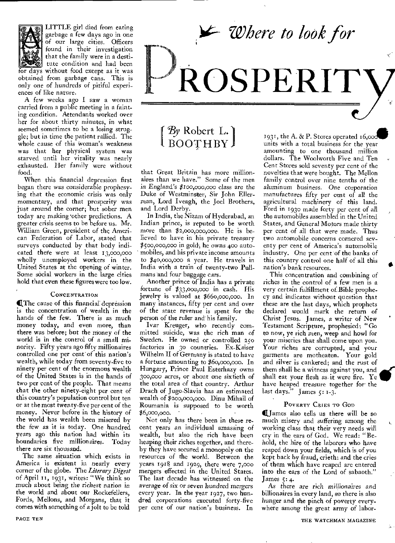*Where to look for* 

# **ROSPERIT**

LITTLE girl died from eating garbage a few days ago in one of our large cities. Officers found in their investigation that the family were in a destitute condition and had been for days without food except as it was obtained from garbage cans. This is only one of hundreds of pitiful experiences of like nature.

A few weeks ago I saw a woman carried from a public meeting in a fainting condition. Attendants worked over her for about thirty minutes, in what seemed sometimes to be a losing struggle; but in time the patient rallied. The whole cause of this woman's weakness was that her physical system was starved until her vitality was nearly exhausted. Her family were without food.

When this financial depression first began there was considerable prophesying that the economic crisis was only momentary, and that prosperity was just around the corner; but sober men today are making 'other predictions. A greater crisis seems to be before us. Mr. William Green, president of the American Federation of Labor, stated that surveys conducted by that body indicated there were at least 13,000,000 wholly unemployed workers in the United States at the opening of winter. Some social workers in the large cities hold that even these figures were too low.

## **CONCENTRATION**

QThe cause of this financial depression is the concentration of wealth in the hands of the few. There is as much money today, and even more, than there was before; but the money of the world is in the control of a small minority. Fifty years ago fifty millionaires controlled one per cent of this nation's wealth, while today from seventy-five to ninety per cent of the enormous wealth of the United States is in the hands of two per cent of the people. That means that the other ninety-eight per cent of this country's population control but ten or at the most twenty-five per cent of the money. Never before in the history of the world has wealth been misered by the few as it is today. One hundred years ago this nation had within its boundaries five millionaires. Today there are six thousand.

The same situation which exists in America is existent in nearly every corner of the globe. The *Literary Digest*  of April 11, 1931, writes: "We think so much about being the richest *nation in*  the world and about our Rockefellers, Fords, Mellons, and Morgans, that it comes with something of a jolt to be told

## $By$  Robert L.) BOOTHBY

that Great Britain has more millionaires than we have," Some of the men in England's Poo,000,000 *class* are the Duke of Westminster, Sir John Ellerman, Lord Iveagh, the Joel Brothers, and Lord Derby.

In India, the Nizam of Hyderabad, an Indian prince, is reputed to be worth more than \$2,000,000,000. He is believed to have in his private treasury \$500,000,000 in gold, he owns 400 automobiles, and his private income amounts to \$40,000,000 a year. He travels in India with a train of twenty-two Pullmans 'and four baggage cars.

Another prince of India has a private fortune of \$33,000,000 in cash. His jewelry is valued at \$66o,000,000. In many instances, fifty per cent and over of the state revenue is spent for the person of the ruler and' his family.

Ivar Kreuger, who recently committed suicide, was the rich man of Sweden. He owned or controlled 250 factories in 3o countries. Ex-Kaiser Wilhelm II of Germany is stated to have a fortune amounting to \$6o,000,000. In Hungary, Prince Paul Esterhazy owns 300,000 acres, or about one sixtieth of the total area of that country. Arthur Drach of Jugo-Slavia has an estimated wealth of \$200,000,000. Dinu Mihail of Roumania is supposed to be worth \$6,000,000.

Not only has there been in these recent years an individual amassing of wealth, but also the rich have been heaping their riches together, and thereby they have secured a monopoly on the resources of the world. Between the years 1918 and 1929, there were 7,000 mergers effected in the United States. The last decade has witnessed on the *average of six or* seven *hundred mergers*  every year. In the year 1927, two hundred corporations executed forty-five per cent of our nation's business. In

1931, the A.  $\&$  P. Stores operated 16,000 units with a total business for the year amounting to one thousand million dollars. The Woolworth Five and Ten Cent Stores sold seventy per cent of the novelties that were bought. The Mellon family control over nine tenths of the aluminum *business.* One corporation manufactures fifty per cent of all the agricultural machinery of this land. Ford in 193o made forty per cent of all the automobiles assembled in the United States, and General Motors made thirty per cent of all that were made. Thus two automobile concerns cornered seventy per cent of America's automobile industry. One per cent of the banks of this country control one half of all this nation's bank resources.

•

This concentration and combining of riches in the control of a few men is a very certain fulfillment of.Bible prophecy and indicates without question that these are the last days, which prophets declared would mark the return of Christ Jesus. James, a writer of New Testament Scripture, prophesied: "Go to now, ye rich men, weep and howl for your miseries that shall come upon you. Your riches are corrupted, and your garments are motheaten. Your gold and silver is cankered; and the rust of them shall be a witness against you, and shall eat your flesh as it were fire. Ye have heaped treasure together for the last days." James  $5: 1-3$ .

## POVERTY CRIES TO GOD

I James also tells us there will be so much misery and suffering among the working class that their very needs will cry in the ears of God. We read: "Behold, the hire of the laborers who have reaped down your fields, which is of you kept back by fraud, crieth: and the cries of them which have reaped are entered into the ears of the Lord of sabaoth." James  $\zeta$ : 4.

As there *are* rich *millionaires* and billionaires in every land, so there is also hunger and the pinch of poverty everywhere among the great army of labor-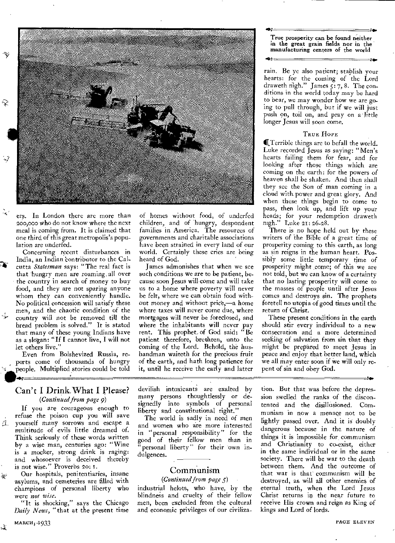

ers. In London there are more than 200,000 who do not know where the next meal is coming from. It is claimed that one third of this great metropolis's population are underfed.

Concerning recent disturbances in India, an Indian 'contributor to the Calcutta *Statesman* says: "The real fact is that hungry men are roaming all over the country in search of money to buy food, and they are not sparing anyone whom they can conveniently handle. No political concession will satisfy these men, and the chaotic condition of the country will not be removed till the bread problem is solved." It is stated that many of these young Indians have as a slogan: "If I cannot live, I will not let others live."

Even from Bolshevized Russia, reports come of thousands of hungry people. Multiplied stories could be told

## Can't I Drink What I Please? *(Continued from page 9)*

If you are courageous enough to refuse the poison cup you will save 互 yourself many sorrows and escape a multitude of evils little dreamed of. Think seriously of these words written by a wise man, centuries ago: "Wine is a mocker, strong drink is raging: and whosoever is deceived thereby is not wise." Proverbs 20: I.

Our hospitals, penitentiaries, insane asylums, and cemeteries are filled with champions of personal liberty who were *not wise.* 

"It is shocking," says the Chicago *Daily News,"* that at the present time

of homes without food, of underfed children, and of hungry, despondent families in America. The resources of governments and charitable associations have been strained in every land of our world. Certainly these cries are being heard of God.

James admonishes that when we see such conditions we are to be patient, because soon Jesus will come and will take us to a home where poverty will never be felt, where we can obtain food without money and without price,—a home where taxes will never come due, where mortgages will never be foreclosed, and where the inhabitants will never pay rent. This prophet. of God said: "Be patient therefore, brethren, unto the coming of the Lord. Behold, the husbandman waiteth for the precious fruit of the earth, and hath long patience for it, until he receive the early and latter

True prosperity can be found neither in the great grain fields nor in the manufacturing centers of the world

100

HOC

rain. Be ye also patient; stablish your hearts: for the coming of the Lord draweth nigh." James  $\overline{s}$ : 7, 8. The conditions in the world today may be hard to bear, we may wonder how we are going to pull through, but if we will just push on, toil on, and pray on a little longer Jesus will soon come.

## TRUE HOPE

**I**Terrible things are to befall the world. Luke recorded Jesus as saying: "Men's hearts failing them for fear, and for looking after those things which are coming on the earth: for the powers of heaven shall be shaken. And then shall they see the Son of man coming in a cloud with power and great glory. And when these things begin to come to pass, then look up, and lift up your heads; for your redemption draweth nigh." Luke 21: 26-28.

There is no hope held out by these writers of the Bible of a great time of prosperity coming to this earth, as long as sin reigns in the human heart. Possibly some little temporary time of prosperity might come; of this we are not told, but we can know of a certainty that no lasting prosperity will come to the masses of people until after Jesus comes and destroys sin. The prophets foretell no utopia of good times until the return of Christ.

These present conditions in the earth should stir every individual to a new consecration and a more determined seeking of salvation from sin that they might be prepared to meet Jesus in peace and enjoy that better land, which we all may enter soon if we will only repent of sin and obey God.

devilish intoxicants are exalted by many persons thoughtlessly or designedly into symbols of personal liberty and constitutional right."

The world is sadly in need of men and women who are more interested in "personal responsibility" for the good of their fellow men than in personal liberty" for their 'own indulgences.

## Communism

## *(Continued from page 5)*

industrial helots, who have, by the blindness and cruelty of their fellow men, been excluded from the cultural and economic privileges of our civiliza-

tion. But that was before the depression swelled the ranks of the discontented and the disillusioned. Communism in now a menace not to be lightly passed over. And it is doubly dangerous because in the nature of things it is impossible for communism and Christianity to co-exist, either in the same individual or in the same society. There will be war to the death between them. And the outcome of that war is that communism will be destroyed, as will all other enemies of eternal truth, when the Lord Jesus Christ returns in the near future to receive His crown and reign as King of kings and Lord of lords.

 $\Delta$ 

 $\mathcal{P}$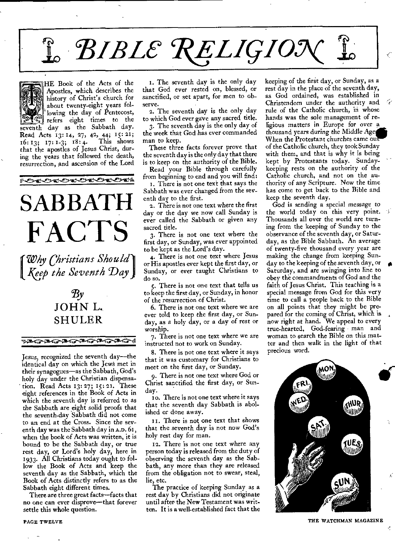# $f$ <sup>*t*</sup> BIBLE RELIGION



HE Book of the Acts of the Apostles, which describes the history of Christ's church for about twenty-eight years following the day of Pentecost, \_ refers eight times to the seventh day as the Sabbath day. Read Acts 13: 14, 27, 42, **44; 15: 21;** 

**16: 13; 17: 1-3;** 18: **4.** This shows 16: 13; 17: 1-3; 18: 4. This shows<br>that the apostles of Jesus Christ, during the years that followed the death, resurrection, and ascension of the Lord

トセイセイセイセイセイシ

# **SABBATH FACTS**

*Why Christians Should" Keep the Seventh Day* 

## $Bv$ **JOHN L. SHULER**

ᠶ**ᢁᢙᢁᢙᢁᢙᢞᢙᢞᢙᢞᢙᢞ** 

Jesus, recognized the seventh day—the identical day on which the Jews met in their synagogues—as the Sabbath, God's holy day under the Christian dispensation. Read Acts 13: 27; 15: at. These eight references in the Book of Acts in which the seventh day is referred to as the Sabbath are eight solid proofs that the seventh-day Sabbath did not come to an end at the Cross. Since the seventh day was the Sabbath day in **A.D.** 61, when the book of Acts was written, it is bound to be the Sabbath day, or true rest day, or Lord's holy day, here in 1933. All Christians today ought to follow the Book of Acts and keep the seventh day as the Sabbath, which the Book of Acts distinctly refers to as the Sabbath eight different times.

There are three great facts—facts that no one can **ever** disprove—that forever settle this whole question.

i. The seventh day is the only day that God ever rested on, blessed, or sanctified, or set apart, for men to observe.

2. The seventh day is the only day to which God ever gave any sacred title.

3. The seventh day is the only day of the week that God has ever commanded man to keep.

These three facts forever prove that the seventh day is the only day that there is to keep on the authority of the Bible.

Read your Bible through carefully from beginning to end and you will find:

i. There is not one text that says the Sabbath was ever changed from the seventh day to the first.

2. There is not one text where the first day or the day we now call Sunday is ever called the Sabbath or given any sacred title.

3. There is not one text where the first day, or Sunday, was ever appointed to be kept as the Lord's day.

4. There is not one text where Jesus or His apostles ever kept the first day, or Sunday, or ever taught Christians to do so.

s. There is not one text that tells us to keep the first day, or Sunday, in honor of the resurrection of Christ.

6. There is not one text where we are ever told to keep the first day, or Sunday, as a holy day, or a day of rest or worship.

7. There is not one text where we are instructed not to work on Sunday.

8. There is not one text where it says that it was customary for Christians to meet on the first day, or Sunday.

9. There is not one text where God or Christ sanctified the first day, or Sunday.

io. There is not one text where it says that the seventh day Sabbath is abolished or done away.

II. There is not one text that shows that the seventh day is not now God's holy rest day for man.

12. There is not one text where any person today is released from the duty of observing the seventh day as the Sabbath, any more than they are released from the obligation not to swear, steal, lie, etc.

The practice of keeping Sunday as a rest day by Christians did not originate until after the New Testament was written. It is a well-established **fact that** the keeping of the first day, or Sunday, as a rest day in the place of the seventh day, as God ordained, **was** established in Christendom under the authority and rule of the Catholic church, in whose hands was the sole management of religious matters in Europe for over a thousand years *during* the Middle Age When the Protestant churches came out of the Catholic church, they took Sunday with them, and that is why it is being kept by Protestants today. Sundaykeeping rests on the authority of the Catholic church, and not on the authority of any Scripture. Now the time has come to get back to the Bible and keep the seventh day.

God is sending a special message to the world today on this very point. Thousands all over the world are turning from the keeping of Sunday to the observance of the seventh day, or Saturday, as the Bible Sabbath. An average of twenty-five thousand every year are making the change from keeping Sunday to the keeping of the seventh day, or Saturday, and are swinging into line to obey the commandments of God and the faith of Jesus Christ. This teaching is a special message from God for this very time to call a people back to the Bible on all points that they might be prepared for the coming of Christ, which is now right at hand. We appeal to every true-hearted, God-fearing man and woman to search the Bible on this matter and then walk in the light of that precious word.

S



**THE WATCHMAN MAGAZINE**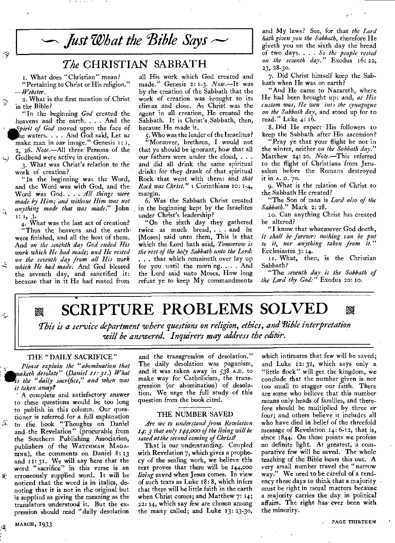

## The CHRISTIAN SABBATH

1. What does "Christian" mean? "Pertaining to Christ or His religion." *—Webster.* 

2. What is the first mention of Christ in the Bible?

父

 $\mathcal{L}$ 

-5

Ŀ,

"In the beginning *God* created the heavens and the earth. . . . And the The waters. . . . And God said, Le make man in *our* image." Genesis Spirit of God moved upon the face of waters. . . . And God said, Let *us*  2, 26. *Note.—All* three Persons of the Godhead were active in creation.

3. What was Christ's relation to the work of creation?

"In the beginning was the Word, and the Word was with God, and the Word was God. . . . All things were *made by Him; and without Him was not anything made that was made."* John  $\left[1, 3\right]$ 

4. What was the last act of creation? "Thus the heavens and the earthwere finished, and all the host of them. And *on the seventh day God ended His work which He had made; and He rested on the seventh day from all His work which He had made.* And God blessed the seventh day, and sanctified it: because that in it He had rested from

all His work which God created and made." Genesis 2: *1-3. Note.—It* was by the creation of the Sabbath that the work of creation was brought to its climax and close. As Christ was the agent in all creation, He created the Sabbath. It is Christ's Sabbath, then, because He made it.

'5. Who was the leader of the Israelites?

"Moreover, brethren, I would not that ye should be ignorant, how that all our fathers were under the cloud, . . . and did all drink the same spiritual drink: for they drank of that spiritual Rock that went with them: and *that Rock was Christ" 1* Corinthians to: 1-4, margin.

6. Was the Sabbath Christ created in the beginning kept by the Israelites under Christ's leadership?

"On the sixth day they gathered twice as much bread, . . and he [Moses] said unto them, This is that which the Lord hath said, *Tomorrow is the rest of the holy Sabbath unto the Lord: . . .* that which remaineth over lay up for you until the morning.  $\ldots$  And the Lord said unto Moses, How long refuse ye to keep My commandments

and My laws? See, for that *the Lord hath given you the Sabbath,* therefore He giveth you on the sixth day the bread of two days. . . . *So the people rested on the seventh day."* Exodus 16: 22, 23, 28-30.

7. Did Christ himself keep the Sabbath when He was on earth?

"And He came to Nazareth, where He had been brought up: and, *as His custom was, He wen int, the synagogue on the Sabbath day,* and stood up for to read." Luke 4: 16.

8. Did He expect His followers to keep the Sabbath after His ascension?

"Pray ye that your flight be not in the winter, neither *on the Sabbath day."*  Matthew 24: 20. *Note.—This* referred to the flight of Christians from Jerusalem before the Romans destroyed it in A. D. 70.

9. What is the relation of Christ to the Sabbath He created?

"The Son of man is *Lord also of the Sabbath."* Mark 2: 28.

:o. Can anything Christ has created be altered?

"I know that whatsoever God doeth, *it shall be forever: nothing can be put to it, nor anything taken from it."*  Ecclesiastes 3: 14.

11. What, then, is the Christian Sabbath?

"The *seventh day is the Sabbath of the Lord thy God:"* Exodus 20: 10.

**EXAMPTURE PROBLEMS SOLVED** 87

*This is a service department where questions on religion, ethics, and 'Bible interpretation will he answered. Inquirers may address the editor.* 

## THE "DAILY SACRIFICE"

*Please explain the "abomination that aketh desolate" (Daniel 11:3!.) What is the "daily sacrifice," and when was it taken away?* 

A complete and satisfactory answer to these questions would be too long to publish in this column. Our questioner is referred for a full explanation  $\overline{a}$  to the book "Thoughts on Daniel and the Revelation" (procurable from the Southern Publishing Association, publishers of the WATCHMAN MAGA-ZINE), the comments on Daniel 8: 13 and 11: 31. We will say here that the word "sacrifice" in this verse is an k erroneously supplied word. It will be noticed that the word is in italics, denoting that it is not in the original but is supplied as giving the meaning as the translators understood it. But the expression should read "daily desolation and the transgression of desolation." The daily desolation was paganism, and it was taken away in 538 A.D. to make way for Catholicism, the transgression (or abomination) of desolation. We urge the full study of this question from the book cited.

#### THE NUMBER SAVED

*Are we to understand from Revelation 14: 3 that only 144,000 of the living will be saved at the second coming of Christ?* 

That is our understanding. Coupled with Revelation 7, which gives a prophecy of the sealing work, we believe this text proves that there will be 144,000 *living* saved when Jesus comes. In view of such texts as Luke IS: 8, which infers that there will be little faith in the earth when Christ comes; and Matthew 7: 14; 22: 14, which say few are chosen among the many called; and Luke 13:23-3o,

which intimates that few will be saved; and Luke 12: 32, which says only a "little flock" will get the kingdom, we conclude that the number given is- not too small to stagger our faith. There are some who believe that this number means only heads of families, and therefore should be multiplied by three or four; and others believe it includes all who have died in belief of the threefold message of Revelation 14:6-12, that is, since 1844. On these points we profess no definite light. At greatest, a comparative few will be saved. The whole teaching of the Bible bears this out. A very small number travel the "narrow way." We need to be careful of a tendency these days to think that a majority must be right in moral matters because a majority carries the day in political affairs. The right has ever been with the minority.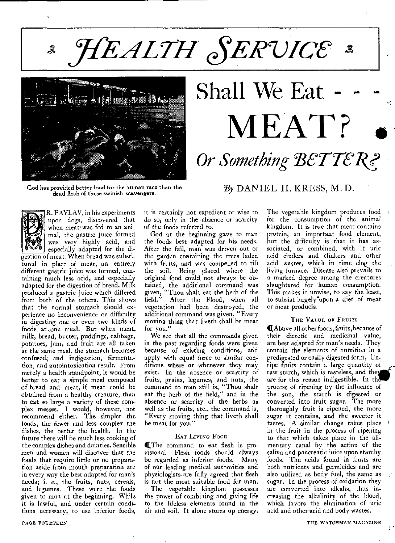**HEALTH SERVICE** ৣ



God has provided better food for the human race than the dead flesh of these swinish scavengers.

# Shall We Eat MEAT? **Or Something BETTER?**

## $B_y$  DANIEL H. KRESS, M. D.



R. PAVLAV, in his experiments upon dogs, discovered that when meat was fed to an animal, the gastric juice formed was very highly acid, and especially adapted for the di-

gestion of meat. When bread was substituted in place of meat, an entirely different gastric juice was formed, conaining much less acid, and especially adapted for the digestion of bread. Milk produced a gastric juice which differed from both of the others. This shows that the normal stomach should experience no inconvenience or difficulty in digesting one or even two kinds of foods at one meal. But when meat, milk, bread, butter, puddings, cabbage, potatoes, jam, and fruit are all taken at the same meal, the stomach becomes confused, and indigestion, fermentation, and autointoxication result. From merely a health standpoint, it would be better to eat a simple meal composed of bread and meat, if meat could be obtained from a healthy creature, than to eat so large a variety of these complex messes. I would, however, not recommend either. The simpler the foods, the fewer and less complex the dishes, the better the health. In the future there will be much less cooking of the complex dishes and dainties. Sensible men and women will discover that the foods that require little or no preparation aside from mouth preparation are in every way the best adapted for man's needs; i. e., the fruits, nuts, cereals, and legumes. These were the foods given to man at the beginning. While it is lawful, and under certain conditions necessary, to use inferior foods,

it is certainly not expedient or wise to do so, only in the absence or scarcity of the foods referred to.

God at the beginning gave to man the foods best adapted for his needs. After the fall, man was driven out of the garden containing the trees laden with fruits, and was compelled to till the soil. Being placed where the original food could, not always be obtained, the additional command was given, "Thou shalt eat the herb of the field." After the Flood, when all vegetation had been destroyed, the additional command was given, "Every moving thing that liveth shall be meat for you."

We see that all the commands given in the past regarding foods were given because of existing conditions, and apply with equal force to similar conditions where or whenever they may exist. In the absence or scarcity of fruits, grains, legumes, and nuts, the command to man still is, "Thou shalt eat the herb of the field," and in the absence or scarcity of the herbs as well as the fruits, etc., the command is, "Every moving thing that liveth shall be meat for you."

## EAT LIVING FOOD

(The command to eat flesh is provisional. Flesh foods should always be regarded as inferior foods. Many of our leading medical authorities and physiologists-are fully agreed that flesh is not the most suitable food for man.

The vegetable kingdom possesses the power of combining and giving life to the lifeless elements found in the air and soil. It alone stores up energy.

The vegetable kingdom produces food for the consumption of the animal kingdom. It is true that meat contains protein, an important food element, but the difficulty is that it has associated, or combined, with it uric acid cinders and clinkers and other acid wastes, which in time clog the living furnace. Disease also prevails to a marked degree among the creaturesslaughtered for human consumption. This makes it unwise, to say the least, to subsist largely<sup>o</sup>upon a diet of meat or meat producis.

## THE VALUE OF FRUITS

(Above all other foods, fruits, because of their dietetic and medicinal value, are best adapted for man's needs. They contain the elements of nutrition in a predigested or easily digested form. Unripe fruits contain a large quantity of raw starch, which is tasteless, and they are for this reason indigestible. In the process of ripening by the influence of the sun, the starch is digested or converted into fruit sugar. The more thoroughly fruit is ripened, the more sugar it contains, and the sweeter it tastes. A similar change takes place in the fruit in the process of ripening to that which takes place in the alimentary canal by the action of the saliva and pancreatic juice upon starchy foods. The acids found in fruits are both nutrients and germicides and are also utilized as body fuel, the same as sugar. In the process of oxidation they are converted into alkalis, thus increasing the alkalinity of the blood, which favors the elimination of uric acid and other acid and body wastes.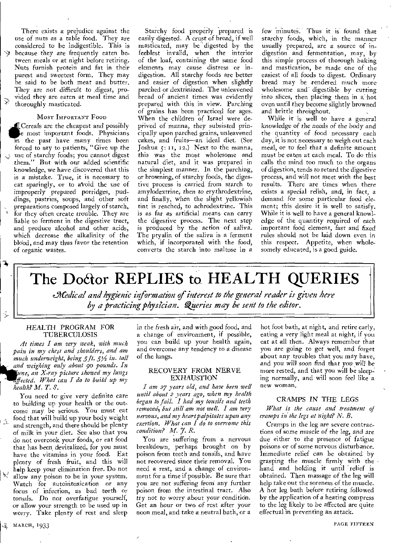There exists a prejudice against the use of nuts as a table food. They are considered to be indigestible. This is because they are frequently eaten between meals or at night before retiring. Nuts furnish protein and fat in their purest and sweetest form. They may be said to be both meat and butter. They are *not* difficult to *digest,* provided they are eaten at meal time and thoroughly masticated.

## MOST IMPORTANT FOOD

**ii**Cereals are the cheapest and possibly<br>
in the past have many times been **EXCET EXECUTE:** Cereals are the cheapest and possibly<br>Le most important foods. Physicians forced to say to patients, "Give up the .ci. use of starchy foods; you cannot digest them." But with our added scientific knowledge, we have discovered that this is a mistake. True, it is necessary to eat sparingly, or to avoid the use of improperly prepared porridges, puddings, pastries, soups, and other soft preparations composed largely of starch, for they often create trouble. They are liable to ferment in the digestive tract, and produce alcohol and other acids, which decrease the alkalinity of the blood, and may thus favor the retention of organic wastes.

Starchy food properly prepared is easily digested. A crust of bread, if well masticated, may be 'digested by the feeblest invalid, when the interior of the loaf, containing the same food elements may cause distress or indigestion. All starchy foods are better and easier of digestion when slightly parched or dextrinized. The unleavened bread of ancient times was evidently prepared with this in view. Parching of grains has been practiced for ages. When the children of Israel were deprived of manna, they subsisted principally upon parched grains, unleavened cakes, and fruits—an ideal diet. (See Joshua 5: 11, 12.) Next to the manna, this was the most wholesome and natural diet, and it was prepared in the simplest manner. In the parching, or browning, of starchy foods, the digestive process is carried from starch to amylodextrine, then to erythrodextrine, and finally, when the slight yellowish tint is reached, to achrodextrine. This is as far as artificial means can carry the digestive process. The next step is produced by the action of saliva. The ptyalin of the saliva is a ferment which, if incorporated with the food, converts the starch into maltose in a

few minutes. Thus it is found that starchy foods, which, in the manner usually prepared, are a source of indigestion and fermentation, may, by this simple process of thorough baking and mastication, be made one of the easiest of all foods to digest. Ordinary bread may be rendered much more wholesome and' digestible by cutting into slices, then placing them in a hot oven until they become slightly browned and brittle throughout.

While it is well to have a general *knowledge of the needs of* the body *and*  the quantity of food necessary each day, it is not necessary to weigh out each meal, or to feel that a definite amount must be eaten at each meal. To do this calls the mind too much to the organs of digestion, tends to retard the digestive process, and will not meet with the best results. There are times when there exists a special relish, and, in fact, a demand for some particular food element; this desire it is well to satisfy. While it is well to have a general knowledge of the quantity required of each important food element, *fast* and fixed rules should not be laid down even in this respect. Appetite, when wholesomely educated, is a good guide.

## The Doctor REPLIES to HEALTH QUERIES

*eXedical and hygienic information of interest to the general reader is given here*  by a practicing physician. Queries may be sent to the editor.

## HEALTH PROGRAM FOR TUBERCULOSIS

7

At times I am very weak, with much *pain in my chest and shoulders, and am much underweight, being 5 ft. 51/2 in. tall - and weighing only about go pounds. In ne, an X-ray picture showed my lungs <sup>1</sup>' ffected. What can I do to build up my <sup>1</sup>health? M. T. S.* 

You need to give very definite care to building up your health or the outcome may be serious. You must eat food that will build up your body weight and strength, and there should be plenty of milk in your diet. See also that you do not overcook your foods, or eat food that has been devitalized, for you must have the vitamins in your food. Eat plenty of fresh fruit, and this will help keep your elimination free. Do not  $\approx$  allow any poison to be in your system. Watch for autointoxication or any focus of infection, as bad teeth or tonsils. Do not overfatigue yourself, or allow your strength to be used up in worry. Take plenty of rest and sleep

*in* the fresh air, and with good food, and a change of environment, if possible, you can build up your health again, and overcome any tendency to a disease of the lungs.

## RECOVERY FROM NERVE EXHAUSTION

*I am 27 years old, and have been well until about 2 years ago, when my health began to fail. I had my tonsils and teeth removed but still am not well. I am very nervous, and my heart palpitates upon any exertion. What can I do to overcome this condition? Al. 7. R.* 

You are suffering from a nervous breakdown, perhaps brought on by poison from teeth and tonsils, and have not recovered since their removal. You need a rest, and a change of environment for a time if possible. Be sure that you are not suffering from any further poison from the intestinal tract. Also try not to worry about your condition. Get an hour or two of rest after your noon meal, and take a neutral bath, or a

hot foot bath, at night, and retire early eating a very light meal at night, if you eat at all then. Always remember tha you are going to get well, and forge about any troubles that you may have, and you will *soon find that* you *will* be more rested, and that you will be sleeping normally, and will soon feel like a new woman.

## CRAMPS IN THE LEGS

*What is the cause and treatment of cramps in the legs at night? N. B.* 

Cramps in the leg are severe contractions of some muscle of the leg, and are due either to the presence of fatigue poisons or of some nervous disturbance. Immediate relief can be obtained by grasping the muscle firmly with the hand and holding it until relief is obtained. Then massage of the leg will help take out the soreness of the muscle. A hot leg bath before retiring followed by the application of a heating compress to the leg likely to be affected are quite effectual in preventing an attack.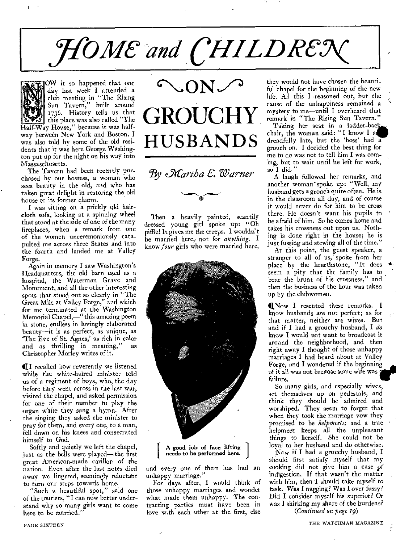# HOME and CHILDREX



OW it so happened that one day last week I attended a club meeting in "The Rising Sun Tavern," built around 1736. History tells us that this place was also called "The

Half-Way House," because it was halfway between New York and Boston. I was also told by some of the old residents that it was here George Washington put up for the night on his way into Massaschusetts.

The Tavern had been recently purchased by our hostess, a woman who sees beauty in the old, and who has taken great delight in restoring the old house to its former charm.

I was sitting on a prickly old haircloth sofa, looking at a spinning wheel that stood at the side of one of the many fireplaces, when a remark from one of the women unceremoniously catapulted me across three States and into the fourth and landed me at Valley Forge.

Again in memory I saw Washington's Headquarters, the old barn used as a hospital, the Waterman Grave and Monument, and all the other interesting spots that stood out so clearly in "The Great Mile at Valley Forge," and which for me terminated at the Washington Memorial Chapel,—" this amazing poem in stone, endless in lovingly elaborated beauty—it is as perfect, as unique, as 'The Eve of St. Agnes,' as rich in color and as thrilling in meaning," as Christopher Morley writes of it.

411 recalled how reverently we listened while the white-haired minister told us of a regiment of boys, who, the day before they went across in the last war, visited the chapel, and asked permission for one of their number to play the organ while they sang a hymn. After the singing they asked the minister to pray for them, and every one, to a man, fell down on his knees and consecrated himself to God.

Softly and quietly we left the chapel, just as the bells were played—the first great American-made carillon of the nation. Even after the last notes died away we lingered, seemingly reluctant to turn our steps towards home.

"Such a beautiful spot," said one of the tourists, "I *can* now better understand why so many girls want to come here to be married.



*e\_Afartha 6: Warner* 

Then a heavily painted, scantily dressed young girl spoke up: "Oh piffle! It gives me the creeps. I wouldn't be married here,. not for *anything.* I know *four* girls who were married here,



and every one of them has had an unhappy marriage."

For days after, I would think of those unhappy marriages and wonder what made them unhappy. The contracting parties must have been in love with each other at the first, else

they would not have chosen the beauti ful chapel for the beginning of the new life. All this I reasoned out, but the cause of the unhappiness remained a mystery to me—until I overheard that remark in "The Rising Sun Tavern."

Taking her seat in a ladder-bac chair, the woman said: "I know I at dreadfully late, but the 'boss' had a grouch on. I decided the best thing for me to do was not to tell him I was coming, but to wait until he left for work, so I did."

A laugh followed her remarks, and another woman' spoke up: "Well, my husband gets a grouch quite often. He is in the classroom all day, and of course it would never do for him to be cross there. He doesn't want his pupils to be afraid of him. So he comes home and takes his crossness out upon us. Nothing is done right in the house; he is just fussing and stewing all of the time."

At this point, the guest speaker, a stranger to all of us; spoke from her place by the hearthstone, "It does  $+$ seem a pity that the family has to bear the brunt of his crossness," and then the business of the hour was taken up by the clubwomen.

**I**Now I resented these remarks. I know husbands are not perfect; as for that matter, neither are wives. But and if I had a grouchy husband, I *do*  know I would not want to broadcast it around the neighborhood, and then right away I thought of those unhappy marriages I had heard about at Valley Forge, and I wondered if the beginning of it all was not because some wife was failure.

So many girls, and especially wives, set themselves up on pedestals, and think they should be admired and worshiped. They seem to forget that when they took the marriage vow they promised to be *helpmeets;* and a true helpmeet keeps all the unpleasant things to herself. She could not be loyal to her husband and do otherwise.

'Now if I had a grouchy husband, I should first satisfy myself that my cooking did not give him a case gf indigestion. If that wasn't the matter with him, then I should take myself to task. Was I nagging? Was I over fussy? Did I consider myself his superior? Or was I shirking my share of the burdens?

*(Continued on page 19)*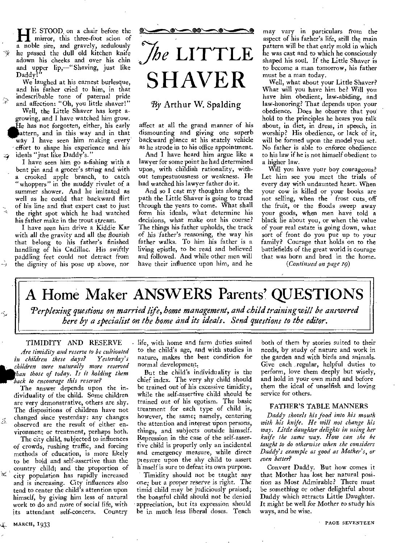**HE** STOOD on a chair before the mirror, this three-foot scion of mirror, this three-foot scion of a noble sire, and gravely, sedulously he passed the dull old kitchen knife adown his cheeks and over his chin and upper lip,—"Shaving, just like Daddy!

We laughed at his earnest burlesque, and his father cried to him, in that indescribable tone of paternal pride and affection: "Oh, you little shaver!"

 $\widehat{\times}$ 

Well, the Little Shaver has kept agrowing, and I have watched him grow. He has not forgotten, either, his early attern, and in this way and in that way I have seen him making every' effort to shape his experience and his ideals "just like Daddy's."

I have seen him go a-fishing with a bent pin and a grocer's string and with a crooked apple branch, to catch "whoppers" in the muddy rivulet of a summer shower. And he imitated as well as he could that backward flirt of his line and that expert cast to just the right spot which he had watched his father make in the trout stream.

I have seen him drive a Kiddie Kar *with all* the *gravity* and *all* the flourish that belong to his father's finished handling of his Cadillac. His swiftly paddling feet could not detract from the dignity of his pose up above, nor



## By Arthur W. Spalding

affect at all the grand manner of his dismounting and giving one superb backward glance at his stately vehicle as he strode in to his office appointment.

And I have heard him argue like a lawyer for some point he had determined upon, with childish rationality, without tempestuousness or weakness. He had watched his lawyer father do it.

And so I cast my thoughts along the path the Little Shaver is going to tread through the years to come. What shall form his ideals, what determine his decisions, what make out his course? The things his father upholds, the track of his father's reasoning, the way his father walks. To him his father is a living epistle, to be read and believed and followed. And while other men will have their influence upon him, and he

may vary in particulars from the aspect of his father's life, still the main pattern will be that early mold in which he was cast and to which he consciously shaped his soul. If the Little Shaver is to become a man tomorrow, his father must be a man today.

Well, what about your Little Shaver? What will you have him be? Will you have him obedient, law-abiding, and law-honoring? That depends upon your obedience. Does he observe that you' hold to the principles he hears you talk about, in diet, in dress, in speech, in worship? His obedience, or lack of it, will be formed upon the model you set. No father is able to enforce obedience to his law if he is not himself obedient to a higher law.

Will you have your boy courageous? Let him see you meet the trials of every day with undaunted heart. When your cow is killed or your books are not selling, when the frost cuts\_ off the fruit, or the floods sweep away your goods, when men have told a black lie about you, or when the value of your real estate is going down, what sort of front do you put up to your family? Courage that holds on to the battlefields of the great world is courage that was born and bred in the home.

*(Continued on page 19)* 

A Home Maker ANSWERS Parents' QUESTIONS

*Perplexing questions on married life, home management, and child training will be answered here by a specialist on the home and its ideals. Send questions to the editor.* 

## TIMIDITY AND RESERVE

*Are timidity and reserve to be cultivated in children these days? children were naturally more reserved han those of today. Is it holding them back to encourage this reserve?* 

The answer depends upon the individuality of the child. Some children are very demonstrative, others are shy. The dispositions of children have not changed since yesterday: any changes observed are the result of either environment or treatment, perhaps both.

The city child, subjected to influences of crowds, rushing traffic, and forcing methods of education, is more likely to be bold and self-assertive than the country child; and the proportion of  $\approx$   $^{\circ}$ city population has rapidly increased and is increasing. City influences also tend to center the child's attention upon himself, by giving him less of natural work to do and more of social life, with its attendant self-concern. Country

. life, with home and farm duties suited to the child's age, and with studies in nature, makes the best condition for normal development.

But the child's individuality is the chief index. The very shy child should be trained out 'of his excessive timidity, while the self-assertive child should be trained out of his egotism. The basic treatment for each type of child is, however, the same; namely, centering the attention and interest upon persons, things, and subjects outside himself. Repression in the case of the self-assertive child is properly only an incidental and emergency measure, while direct piessure upon the shy child to assert h mself is sure to defeat its own purpose.

Timidity should not be taught any one; but a proper reserve is right. The timid child may be judiciously praised; the boastful child should not be denied appreciation, but its expression should be in much less liberal doses. Teach

both of them by stories suited to their needs, by study of nature and work in the garden and with birds and animals. Give each regular, helpful duties to perform, love them deeply but wisely, and hold in your own mind and before them the ideal of unselfish and loving service for others.

#### FATHER'S TABLE MANNERS

*Daddy shovels his food into his mouth with his knife. He will not change his way. Little daughter delights in using her knife the same way. How can she be taught to do otherwise when she considers Daddy's example as good as Mother's, or even better?* 

Convert Daddy. But how comes it that Mother has lost her natural position as Most Admirable? There must be something or other delightful about Daddy which attracts Little Daughter. It might be well for Mother to study his ways, and be wise.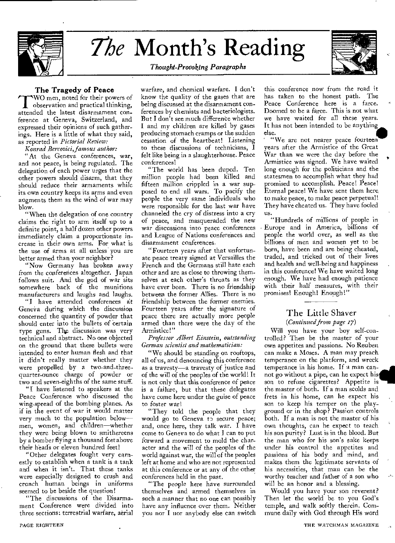

## *The* Month's Reading



## *Thought-Provoking Paragraphs*

## The Tragedy of Peace

WO men, noted for their powers of observation and practical thinking, attended the latest disarmament conference at Geneva, Switzerland, and expressed their opinions of such gatherings. Here is a little of what they said, as reported in *Pictorial Review:* 

*Konrad Bercovici, famous author:* 

At the Geneva conferences, war, and not peace, is being regulated. The delegation of each power urges that the other powers should disarm, that they should reduce their armaments while its own country keeps its arms and even augments them as the wind of war may blow.

"When the delegation of one country claims the right to arm itself up to a definite point, a half dozen other powers immediately claim a proportionate increase in their own arms. For what is the use of arms at all unless you are better armed than your neighbor?

"Now Germany has broken away from the conferences altogether. Japan follows suit. And the god of war sits somewhere back of the munitions manufacturers and laughs and laughs.

"I have attended conferences at Geneva during which the discussion concerned the quantity of powder that should enter into the bullets of certain type guns. The discussion was very technical and abstract. No one objected on the ground that these bullets were intended to enter human flesh and that it didn't really matter whether they were propelled by a two-and-threequarter-ounce charge of powder or two and seven-eighths of the same stuff.

"I have listened to speakers at the Peace Conference who discussed the wing-spread of the bombing planes. As if in the event of war it would matter very much to the population below men, women, and children—whether they were being blown to smithereens by a bomber flying a thousand feet above their heads or eleven hundred feet!

"Other delegates fought very earnestly to establish when a tank is a tank and when it isn't. That these tanks were especially designed to crush and crunch human beings in uniforms seemed to be beside the question!

"The discussions of the Disarmament Conference were divided into three sections: terrestrial warfare, aerial

warfare, and chemical warfare. I don't know the quality of the gases that are being discussed at the disarmament conferences by chemists and bacteriologists. But I don't see much difference whether I and my children are killed by gases producing stomach cramps or the sudden cessation of the heartbeat! Listening to these discussions of technicians, I felt like being in a slaughterhouse. Peace conferences!

"The world has been duped. Ten million people had been killed and fifteen million crippled in a war supposed to end all wars. To pacify the people the very same individuals who were responsible for the last war have channeled the cry of distress into a cry of peace, and masqueraded the new war discussions into peace conferences and League of Nations conferences and disarmament conferences.

"Fourteen years after that unfortunate peace treaty signed at Versailles the French and the Germans still hate each other and are as close to throwing themselves at each other's throats as they have ever been. There is no friendship between the former Allies. There is no friendship between the former enemies. Fourteen years after the signature of peace there are actually more people armed than there were the day of the Armistice!"

## *Professor Albert Einstein, outstanding German scientist and mathematician:*

"We should be standing on rooftops, all of us, and denouncing this conference as a travesty—a travesty of justice and of the will of the peoples of the world! It is not only that this conference of peace is a failure, but that these delegates have come here under the guise of peace to foster war!

"They told the people that they would go to Geneva to secure peace; and, once here, they talk war. I have come to Geneva to do what I can to put forward a movement to mold the character and the will of the peoples of the world against war, the will of the peoples left at home and who are not represented at this conference or at any of the other conferences held in the past.

"The people here have surrounded themselves and armed themselves in such a manner that no one can possibly have any influence over them. Neither you nor I nor anybody else can switch this conference now from the road it has taken to the honest path. The Peace Conference here is a farce. Doomed to be a farce. This is not what we have waited for all these years. It has not been intended to be anything else. e.<br>at<br>s.<br>g<br>m<br>at

' "We are not nearer peace fourteen years after the Armistice of the Great War than we were the day before the Armistice was signed. We have waited long enough for the politicians and the statesmen to accomplish what they had promised to accomplish. Peace! Peace! Eternal peace! We have sent them here. to make peace, to make peace perpetual! They have cheated us. They have fooled us.

"Hundreds of millions of people in Europe and in America, billions of people the world over, as well as the billions of men and women yet to be born, have been and are being cheated, traded, and tricked out of their lives and health and well-being and happiness in this conference! We have waited long enough. We have had enough patience with their half measures, with their promises! Enough! Enough!"

## The Little Shaver *(Continued from page 17)*

Will you have your boy self-controlled? Then be the master of your own appetites and passions. No Reuben can make a Moses. A man may preach temperance on the platform, and wreck temperance in his home. If a man cannot go without a pipe, can he expect his son to refuse cigarettes? Appetite is the master of both. If a man scolds and frets in his home, can he expect his son to keep his temper on the playground or in the shop? Passion controls both. If a man is not the master of his own thoughts, can he expect to teach his son purity? Lust is in the blood. But the man who for his son's sake keeps under his control the appetites and passions of his body and mind, and makes them the legitimate servants of his necessities, that man can be the worthy teacher and father of a son who will be an honor and a blessing.

Would you have your son reverent? Then let the world be to you God's temple, and walk softly therein. Commune daily with God through His word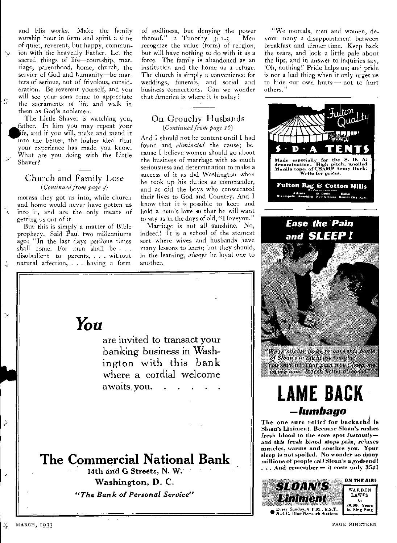and His works. Make the family worship hour in form and spirit a time of quiet, reverent, but happy, communion with the heavenly Father. Let the sacred things of life-courtship, marriage, parenthood, home, church, the service of God and humanity—be matters of serious, not of frivolous, consideration. Be reverent yourself, and you will see your sons come to appreciate the sacraments of life and walk in them as God's noblemen.

 $\mathcal{D}$ 

 $\overline{\phantom{a}}$ 

 $\hat{\varphi}$ 

Ĺ.

The Little Shaver is watching you, father. In him you may repeat your ife, and if you will, make and mend it into the better, the higher ideal that your experience has made you know. What are you doing with the Little Shaver?

## Church and Family Lose *(Continued from page a)*

morass they got us into, while church and home would never have gotten us into it, and are the only means of getting us out of it.

But this is simply a matter of Bible prophecy. Said Paul two millenniums ago: "In the last days perilous times shall come. For men shall be . . . disobedient to parents, . . . without natural affection, . . . having a form

of godliness, but denying the power thereof." 2 Timothy 3: 1-5. Men recognize the value (form) of religion, but will have nothing to do with it as a force. The family is abandoned as an institution and the home as a refuge. The church is simply a convenience for weddings, funerals, and social and business connections. Can we wonder that America is where it is today?

## On Grouchy Husbands *(Continued from page 16)*

And I should not be content until I had found and *eliminated* the cause; because I believe women should go about the business of marriage with as much seriousness and determination to make a success of it as did Washington when he took up his duties as commander, and as did the boys who consecrated their lives to God and Country. And I know that it is possible to keep and hold a man's love so that he will want to say as in the days of old, "I loveyou."

Marriage is not all sunshine. No, indeed! It is a school of the sternest sort where wives and husbands have many lessons to learn; but they should, in the learning, *always* be loyal one to another.

"We mortals, men and women, devour many a disappointment between breakfast and dinner-time. Keep back the tears, and look a little pale about the lips, and in answer to inquiries say, `Oh, nothing!' Pride helps us; and pride is not a had thing when it only urges us to hide our own hurts — not to hurt others."



## **—lumbago**

The one sure relief for backache is Sloan's Liniment. Because Sloan's rushes fresh blood to the sore spot instantly *and this fresh* blood stops *pain, relaxes*  muscles, warms and soothes you. You sleep is not spoiled. No wonder so many millions of people call Sloan's a godsend. ... And remember - it costs only  $354!$ 



You

are invited to transact your banking business in Washington with this bank where a cordial welcome awaits, you  $\mathbb{R}^2$ 

## **The Commercial National Bank**

14th and G Streets, N. W. Washington, D. C. *"The Bank of Personal Service"* 

MARCH, 5933 PAGE NINETEEN